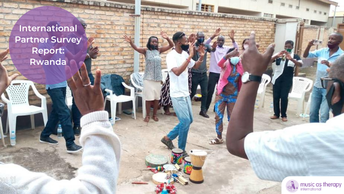**International Partner Survey Report: Rwanda**

**ALLEY FIRE** 

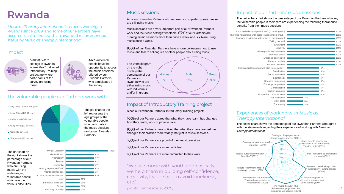

33%

Learning Disability

| <b>Physical Disability</b>        |     |     | 100% |
|-----------------------------------|-----|-----|------|
| <b>Mental Illness</b>             |     | 67% |      |
| <b>Hyperactivity</b>              |     | 67% |      |
| Trauma                            |     | 67% |      |
| Dementia                          |     | 67% |      |
| Hearing Impairment/Deaf           |     | 67% |      |
| <b>Attention Difficulties</b>     |     | 67% |      |
| <b>Communication Difficulties</b> |     | 67% |      |
| Grief                             | 33% |     |      |
| <b>Emotional difficulties</b>     | 33% |     |      |
| Autism                            | 33% |     |      |

# **Rwanda**

*Music as Therapy International* has been working in Rwanda since 2009, and some of our Partners have become local trainers with an awarded recommended status by *Music as Therapy International.*





3 out of 5 care settings in Rwanda where *MasT* delivered Introductory Training project are where participants of the survey are using music.



447 vulnerable people have the opportunity to access the music sessions offered by our Rwanda Partners who participated in the survey.

#### Impact

## The vulnerable people our Partners work with

the right shows the percentage of our Rwandan Partners who are using music with the wide-ranging vulnerable people who have the various difficulties.

#### Music sessions

100% of our Rwandan Partners have shown colleagues how to use music and talk to colleagues or other people about using music.

"We use music with youth and basically, we help them in building self-confidence, creativity, leadership, to avoid loneliness, etc."

*(Youth Centre Rusizi, 2020)*

## Impact of Introductory Training project

## Impact of our Partners' music sessions

The below bar chart shows the percentage of our Rwandan Partners who say the vulnerable people in their care are experiencing the following therapeutic benefits from their music sessions.

## Experiences of working with *Music as*

100% of our Partners agree that what they have learnt has changed *Therapy International* how they teach, work or provide care.

Since our Rwandan Partners' Introductory Training project:

100% of our Partners are proud of their music sessions.

The below chart shows the percentage of our Rwandan Partners who agree with the statements regarding their experience of working with *Music as Therapy International.*

All of our Rwandan Partners who returned a completed questionnaire are still using music.



The Venn diagram on the right displays the percentage of our Partners in Rwanda who are either using music with individuals and/or in groups.

Music sessions are a very important part of our Rwandan Partners' work and their care settings' timetable. 67% of our Partners are running music sessions more than once a week and 33% are using music once a week.

100% of our Partners are more committed to their work.



100% of our Partners have noticed that what they have learned has changed their practice more widely that just in music sessions.

100% of our Partners are more confident.